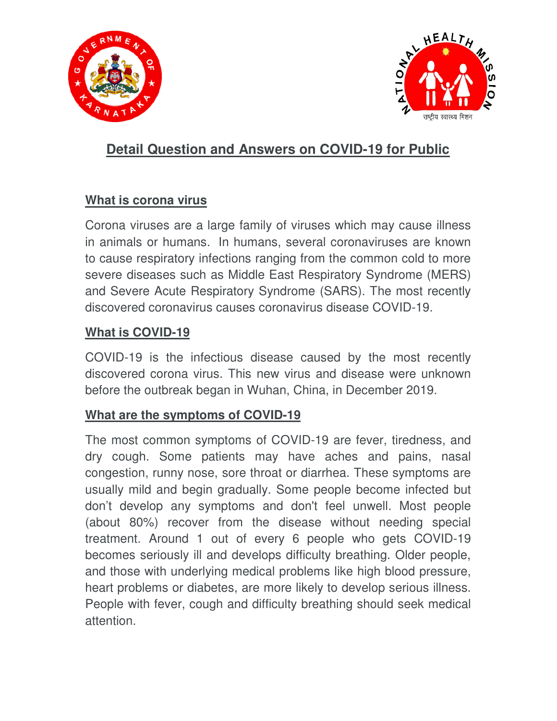



# **Detail Question and Answers on COVID-19 for Public**

#### **What is corona virus**

Corona viruses are a large family of viruses which may cause illness in animals or humans. In humans, several coronaviruses are known to cause respiratory infections ranging from the common cold to more severe diseases such as Middle East Respiratory Syndrome (MERS) and Severe Acute Respiratory Syndrome (SARS). The most recently discovered coronavirus causes coronavirus disease COVID-19.

### **What is COVID-19**

COVID-19 is the infectious disease caused by the most recently discovered corona virus. This new virus and disease were unknown before the outbreak began in Wuhan, China, in December 2019.

#### **What are the symptoms of COVID-19**

The most common symptoms of COVID-19 are fever, tiredness, and dry cough. Some patients may have aches and pains, nasal congestion, runny nose, sore throat or diarrhea. These symptoms are usually mild and begin gradually. Some people become infected but don't develop any symptoms and don't feel unwell. Most people (about 80%) recover from the disease without needing special treatment. Around 1 out of every 6 people who gets COVID-19 becomes seriously ill and develops difficulty breathing. Older people, and those with underlying medical problems like high blood pressure, heart problems or diabetes, are more likely to develop serious illness. People with fever, cough and difficulty breathing should seek medical attention.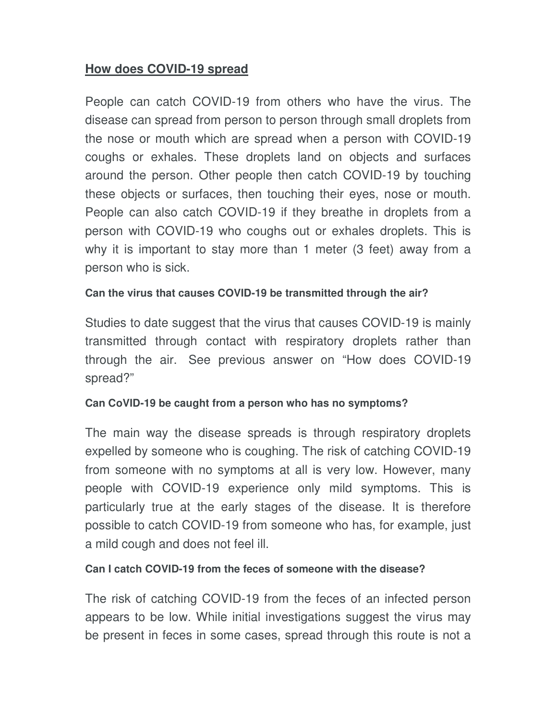#### **How does COVID-19 spread**

People can catch COVID-19 from others who have the virus. The disease can spread from person to person through small droplets from the nose or mouth which are spread when a person with COVID-19 coughs or exhales. These droplets land on objects and surfaces around the person. Other people then catch COVID-19 by touching these objects or surfaces, then touching their eyes, nose or mouth. People can also catch COVID-19 if they breathe in droplets from a person with COVID-19 who coughs out or exhales droplets. This is why it is important to stay more than 1 meter (3 feet) away from a person who is sick.

#### **Can the virus that causes COVID-19 be transmitted through the air?**

Studies to date suggest that the virus that causes COVID-19 is mainly transmitted through contact with respiratory droplets rather than through the air. See previous answer on "How does COVID-19 spread?"

#### **Can CoVID-19 be caught from a person who has no symptoms?**

The main way the disease spreads is through respiratory droplets expelled by someone who is coughing. The risk of catching COVID-19 from someone with no symptoms at all is very low. However, many people with COVID-19 experience only mild symptoms. This is particularly true at the early stages of the disease. It is therefore possible to catch COVID-19 from someone who has, for example, just a mild cough and does not feel ill.

#### **Can I catch COVID-19 from the feces of someone with the disease?**

The risk of catching COVID-19 from the feces of an infected person appears to be low. While initial investigations suggest the virus may be present in feces in some cases, spread through this route is not a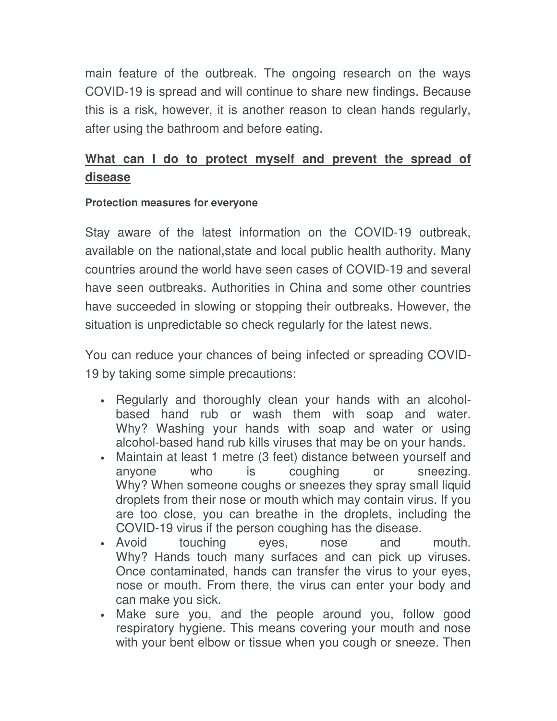main feature of the outbreak. The ongoing research on the ways COVID-19 is spread and will continue to share new findings. Because this is a risk, however, it is another reason to clean hands regularly, after using the bathroom and before eating.

## **What can I do to protect myself and prevent the spread of disease**

#### **Protection measures for everyone**

Stay aware of the latest information on the COVID-19 outbreak, available on the national,state and local public health authority. Many countries around the world have seen cases of COVID-19 and several have seen outbreaks. Authorities in China and some other countries have succeeded in slowing or stopping their outbreaks. However, the situation is unpredictable so check regularly for the latest news.

You can reduce your chances of being infected or spreading COVID-19 by taking some simple precautions:

- Regularly and thoroughly clean your hands with an alcoholbased hand rub or wash them with soap and water. Why? Washing your hands with soap and water or using alcohol-based hand rub kills viruses that may be on your hands.
- Maintain at least 1 metre (3 feet) distance between yourself and anyone who is coughing or sneezing. Why? When someone coughs or sneezes they spray small liquid droplets from their nose or mouth which may contain virus. If you are too close, you can breathe in the droplets, including the COVID-19 virus if the person coughing has the disease.
- Avoid touching eyes, nose and mouth. Why? Hands touch many surfaces and can pick up viruses. Once contaminated, hands can transfer the virus to your eyes, nose or mouth. From there, the virus can enter your body and can make you sick.
- Make sure you, and the people around you, follow good respiratory hygiene. This means covering your mouth and nose with your bent elbow or tissue when you cough or sneeze. Then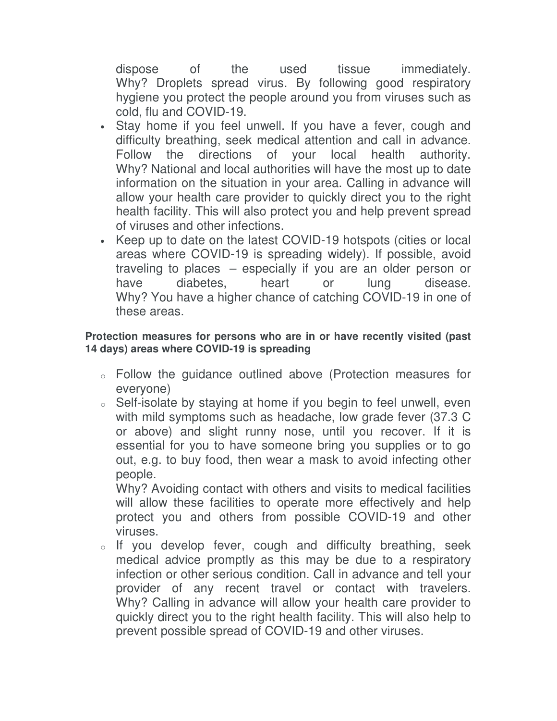dispose of the used tissue immediately. Why? Droplets spread virus. By following good respiratory hygiene you protect the people around you from viruses such as cold, flu and COVID-19.

- Stay home if you feel unwell. If you have a fever, cough and difficulty breathing, seek medical attention and call in advance. Follow the directions of your local health authority. Why? National and local authorities will have the most up to date information on the situation in your area. Calling in advance will allow your health care provider to quickly direct you to the right health facility. This will also protect you and help prevent spread of viruses and other infections.
- Keep up to date on the latest COVID-19 hotspots (cities or local areas where COVID-19 is spreading widely). If possible, avoid traveling to places – especially if you are an older person or have diabetes, heart or lung disease. Why? You have a higher chance of catching COVID-19 in one of these areas.

#### **Protection measures for persons who are in or have recently visited (past 14 days) areas where COVID-19 is spreading**

- <sup>o</sup> Follow the guidance outlined above (Protection measures for everyone)
- <sup>o</sup> Self-isolate by staying at home if you begin to feel unwell, even with mild symptoms such as headache, low grade fever (37.3 C or above) and slight runny nose, until you recover. If it is essential for you to have someone bring you supplies or to go out, e.g. to buy food, then wear a mask to avoid infecting other people.

Why? Avoiding contact with others and visits to medical facilities will allow these facilities to operate more effectively and help protect you and others from possible COVID-19 and other viruses.

<sup>o</sup> If you develop fever, cough and difficulty breathing, seek medical advice promptly as this may be due to a respiratory infection or other serious condition. Call in advance and tell your provider of any recent travel or contact with travelers. Why? Calling in advance will allow your health care provider to quickly direct you to the right health facility. This will also help to prevent possible spread of COVID-19 and other viruses.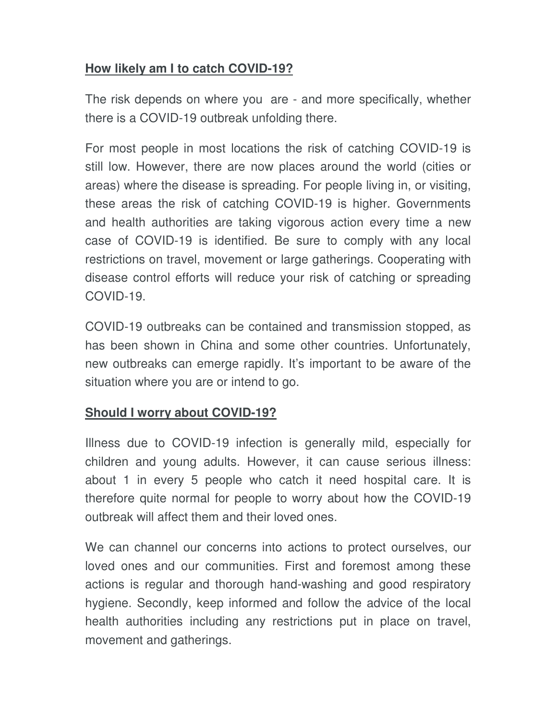## **How likely am I to catch COVID-19?**

The risk depends on where you are - and more specifically, whether there is a COVID-19 outbreak unfolding there.

For most people in most locations the risk of catching COVID-19 is still low. However, there are now places around the world (cities or areas) where the disease is spreading. For people living in, or visiting, these areas the risk of catching COVID-19 is higher. Governments and health authorities are taking vigorous action every time a new case of COVID-19 is identified. Be sure to comply with any local restrictions on travel, movement or large gatherings. Cooperating with disease control efforts will reduce your risk of catching or spreading COVID-19.

COVID-19 outbreaks can be contained and transmission stopped, as has been shown in China and some other countries. Unfortunately, new outbreaks can emerge rapidly. It's important to be aware of the situation where you are or intend to go.

### **Should I worry about COVID-19?**

Illness due to COVID-19 infection is generally mild, especially for children and young adults. However, it can cause serious illness: about 1 in every 5 people who catch it need hospital care. It is therefore quite normal for people to worry about how the COVID-19 outbreak will affect them and their loved ones.

We can channel our concerns into actions to protect ourselves, our loved ones and our communities. First and foremost among these actions is regular and thorough hand-washing and good respiratory hygiene. Secondly, keep informed and follow the advice of the local health authorities including any restrictions put in place on travel, movement and gatherings.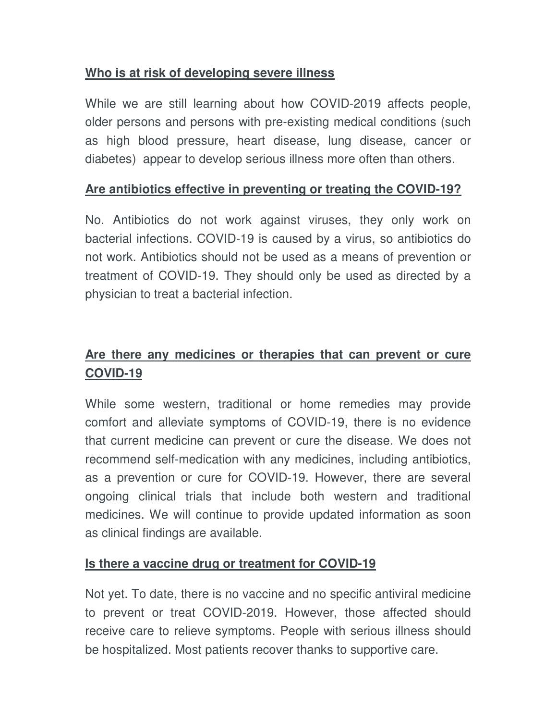#### **Who is at risk of developing severe illness**

While we are still learning about how COVID-2019 affects people, older persons and persons with pre-existing medical conditions (such as high blood pressure, heart disease, lung disease, cancer or diabetes) appear to develop serious illness more often than others.

#### **Are antibiotics effective in preventing or treating the COVID-19?**

No. Antibiotics do not work against viruses, they only work on bacterial infections. COVID-19 is caused by a virus, so antibiotics do not work. Antibiotics should not be used as a means of prevention or treatment of COVID-19. They should only be used as directed by a physician to treat a bacterial infection.

## **Are there any medicines or therapies that can prevent or cure COVID-19**

While some western, traditional or home remedies may provide comfort and alleviate symptoms of COVID-19, there is no evidence that current medicine can prevent or cure the disease. We does not recommend self-medication with any medicines, including antibiotics, as a prevention or cure for COVID-19. However, there are several ongoing clinical trials that include both western and traditional medicines. We will continue to provide updated information as soon as clinical findings are available.

#### **Is there a vaccine drug or treatment for COVID-19**

Not yet. To date, there is no vaccine and no specific antiviral medicine to prevent or treat COVID-2019. However, those affected should receive care to relieve symptoms. People with serious illness should be hospitalized. Most patients recover thanks to supportive care.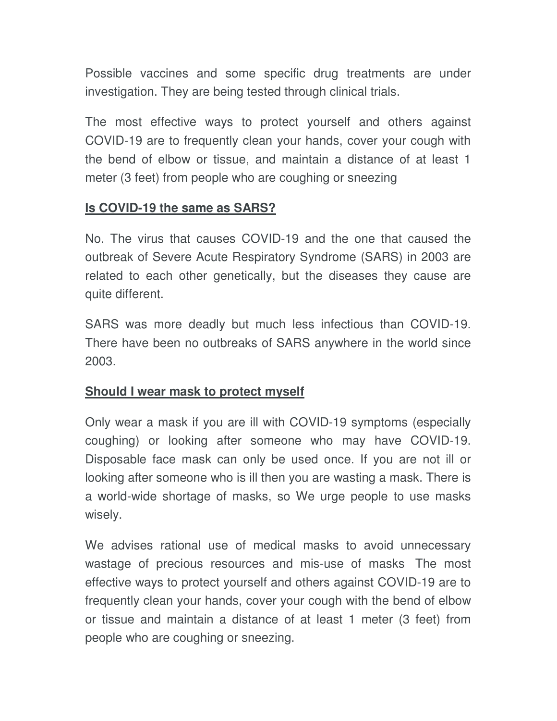Possible vaccines and some specific drug treatments are under investigation. They are being tested through clinical trials.

The most effective ways to protect yourself and others against COVID-19 are to frequently clean your hands, cover your cough with the bend of elbow or tissue, and maintain a distance of at least 1 meter (3 feet) from people who are coughing or sneezing

### **Is COVID-19 the same as SARS?**

No. The virus that causes COVID-19 and the one that caused the outbreak of Severe Acute Respiratory Syndrome (SARS) in 2003 are related to each other genetically, but the diseases they cause are quite different.

SARS was more deadly but much less infectious than COVID-19. There have been no outbreaks of SARS anywhere in the world since 2003.

#### **Should I wear mask to protect myself**

Only wear a mask if you are ill with COVID-19 symptoms (especially coughing) or looking after someone who may have COVID-19. Disposable face mask can only be used once. If you are not ill or looking after someone who is ill then you are wasting a mask. There is a world-wide shortage of masks, so We urge people to use masks wisely.

We advises rational use of medical masks to avoid unnecessary wastage of precious resources and mis-use of masks The most effective ways to protect yourself and others against COVID-19 are to frequently clean your hands, cover your cough with the bend of elbow or tissue and maintain a distance of at least 1 meter (3 feet) from people who are coughing or sneezing.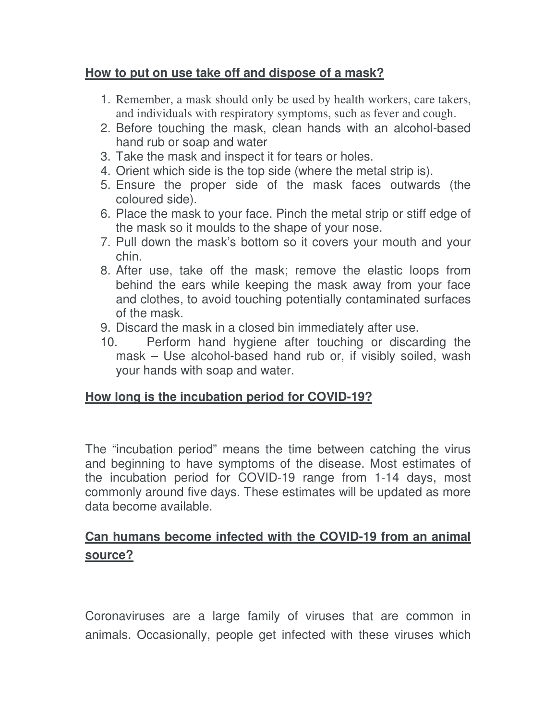#### **How to put on use take off and dispose of a mask?**

- 1. Remember, a mask should only be used by health workers, care takers, and individuals with respiratory symptoms, such as fever and cough.
- 2. Before touching the mask, clean hands with an alcohol-based hand rub or soap and water
- 3. Take the mask and inspect it for tears or holes.
- 4. Orient which side is the top side (where the metal strip is).
- 5. Ensure the proper side of the mask faces outwards (the coloured side).
- 6. Place the mask to your face. Pinch the metal strip or stiff edge of the mask so it moulds to the shape of your nose.
- 7. Pull down the mask's bottom so it covers your mouth and your chin.
- 8. After use, take off the mask; remove the elastic loops from behind the ears while keeping the mask away from your face and clothes, to avoid touching potentially contaminated surfaces of the mask.
- 9. Discard the mask in a closed bin immediately after use.
- 10. Perform hand hygiene after touching or discarding the mask – Use alcohol-based hand rub or, if visibly soiled, wash your hands with soap and water.

### **How long is the incubation period for COVID-19?**

The "incubation period" means the time between catching the virus and beginning to have symptoms of the disease. Most estimates of the incubation period for COVID-19 range from 1-14 days, most commonly around five days. These estimates will be updated as more data become available.

## **Can humans become infected with the COVID-19 from an animal source?**

Coronaviruses are a large family of viruses that are common in animals. Occasionally, people get infected with these viruses which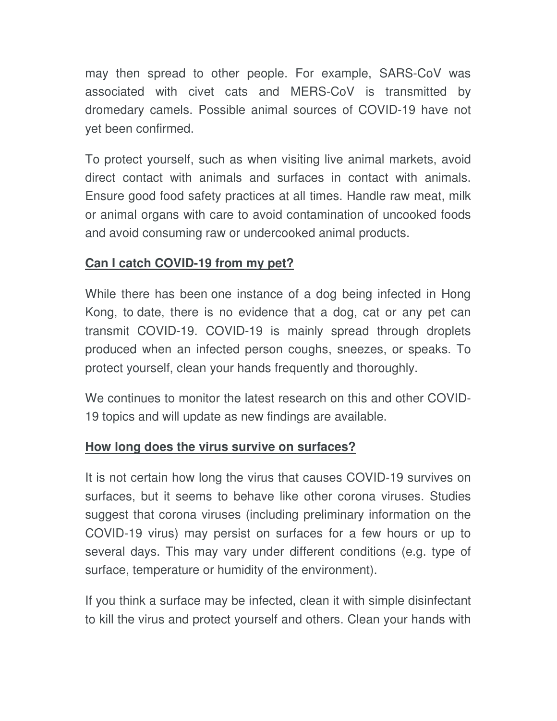may then spread to other people. For example, SARS-CoV was associated with civet cats and MERS-CoV is transmitted by dromedary camels. Possible animal sources of COVID-19 have not yet been confirmed.

To protect yourself, such as when visiting live animal markets, avoid direct contact with animals and surfaces in contact with animals. Ensure good food safety practices at all times. Handle raw meat, milk or animal organs with care to avoid contamination of uncooked foods and avoid consuming raw or undercooked animal products.

## **Can I catch COVID-19 from my pet?**

While there has been one instance of a dog being infected in Hong Kong, to date, there is no evidence that a dog, cat or any pet can transmit COVID-19. COVID-19 is mainly spread through droplets produced when an infected person coughs, sneezes, or speaks. To protect yourself, clean your hands frequently and thoroughly.

We continues to monitor the latest research on this and other COVID-19 topics and will update as new findings are available.

### **How long does the virus survive on surfaces?**

It is not certain how long the virus that causes COVID-19 survives on surfaces, but it seems to behave like other corona viruses. Studies suggest that corona viruses (including preliminary information on the COVID-19 virus) may persist on surfaces for a few hours or up to several days. This may vary under different conditions (e.g. type of surface, temperature or humidity of the environment).

If you think a surface may be infected, clean it with simple disinfectant to kill the virus and protect yourself and others. Clean your hands with